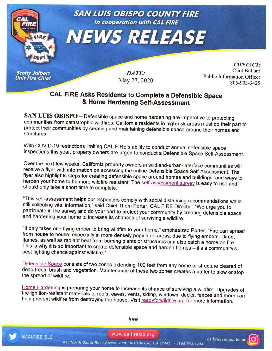

## **CAL FIRE Asks Residents to Complete a Defensible Space & Home Hardening Self-Assessment**

SAN LUIS OBISPO - Defensible space and home hardening are imperative to protecting communities from catastrophic wildfires. California residents in high-risk areas must do their part to protect their communities by creating and maintaining defensible space around their homes and structures.

With COVID-19 restrictions limiting CAL FIRE's ability to conduct annual defensible space inspections this year, property owners are urged to conduct a Defensible Space Self-Assessment.

Over the next few weeks, California property owners in wildland-urban-interface communities will receive a flyer with information on accessing the online Defensible Space Self-Assessment. The flyer also highlights steps for creating defensible space around homes and buildings, and ways to harden your home to be more wildfire resistant. The self-assessment survey is easy to use and should only take a short time to complete.

"This self-assessment helps our inspectors comply with social distancing recommendations while still collecting vital information," said Chief Thorn Porter, CAL FIRE Director. "We urge you to participate in the survey and do your part to protect your community by creating defensible space and hardening your home to increase its chances of surviving a wildfire.

"It only takes one flying ember to bring wildfire to your home," emphasized Porter. "Fire can spread from house to house, especially in more densely populated areas, due to flying embers. Direct flames, as well as radiant heat from burning plants or structures can also catch a home on fire. This is why it is so important to create defensible space and harden homes - it's a community's best fighting chance against wildfire."

Defensible Space consists of two zones extending 100 feet from any home or structure cleared of dead trees, brush and vegetation. Maintenance of these two zones creates a buffer to slow or stop the spread of wildfire.

Home Hardening is preparing your home to increase its chance of surviving a wildfire. Upgrades of fire-ignition-resistant materials to roofs, eaves, vents, siding, windows, decks, fences and more can help prevent wildfire from destroying the house. Visit readyforwildfire.org for more information.



@CALFIRE SLO

###

www.calfireslo.org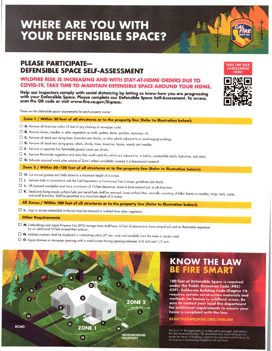# **WHERE ARE YOU WITH YOUR DEFENSIBLE SPACE?**

### **PLEASE PARTICIPATE-DEFENSIBLE SPACE SELF-ASSESSMENT**

### **WILDFIRE RISK IS INCREASING AND WITH STAY-AT-HOME ORDERS DUE TO COVID-19, TAKE TIME TO MAINTAIN DEFENSIBLESPACEAROUND YOUR HOME.**

**Help our inspedors comply with social distancing by letting us know how you are progressing with your Defensible Space. Please complete our Defensible Space Self-Assessment. To access, scan the QR code or visit www.fire.ca.gov/Dspace.**

These are the defensible space requirements for each property owner:

### **Zone 1 / Within 30 feet of all structures or to the property line (Refer to illustration below):**

- □ A. Remove all branches within 10 feet of any chimney or stovepipe outlet.
- o **B.** Remove leaves, needles or other vegetation on roofs, gutters, decks, porches, stairways, etc.
- $\Box$  **C.** Remove all dead and dying trees, branches and shrubs, or other plants adjacent to or overhanging buildings.
- $\square$  **D.** Remove all dead and dying grass, plants, shrubs, trees, branches, leaves, weeds and needles.
- o **E.** Remove or separote live flammable ground cover and shrubs.
- o **F.** Remove flammable vegetation and items that could catch fire which are adjacent to, or below, combustible decks, balconies, and stairs.

o **G.** Relocate exposed wood piles outside of Zone <sup>1</sup> unless completely covered in <sup>a</sup> fire-resistant material.

Zone 2 / Within 30-100 feet of all structures or to the property line (Refer to illustration below):

- $\Box$  **H.** Cut annual grasses and forbs down to a maximum height of 4 inches.
- o **I.** Remove fuels in accordance with the Fuel Separation or Continuous Tree Canopy guidelines (see bock).
- o **J.** All exposed woodpiles must have <sup>a</sup> minimum of <sup>10</sup> feet clearance, down to bare minerol soil, in all directions.
- □ K. Dead and dying woody surface fuels and aerial fuels shall be removed. Loose surface litter, normally consisting of fallen leaves or needles, twigs, bark, cones, and small branches, sholl be permitted to a maximum depth of 3 inches.

**All Zones / Within 100 feet of** all structures **or to the property line (Refer to illustration below):**

o **L.** logs or stumps embedded in the soil must be removed or isolated from other vegetation.

#### **Other Requirements:**

- o **M.** Outbuildings and liquid Propane Gas (lPG) storage tanks sholl have <sup>10</sup> feet of clearance to bare mineral soil and no flammable vegetation for an additional 10 feet around their exterior.
- □ N. Address numbers shall be displayed in contrasting colors (4<sup>"</sup> min. size) and readable from the street or access road.
- □ Equip chimney or stovepipe openings with a metal screen having openings between 3/8 inch and 1/2 inch.



## **KNOW THE LAW BE FIRE SMART**

100 feet of Defensible Space is required under the Public Resources Code (PRC) 4291. California Building Code Chapter 7A requires certain construction materials and methods for homes in wildland areas. Be sure to contact your local fire department for additional requirements to ensure your home is compliant with the law.

**READYFORWILDFIRE.ORG/THELAW** 

PRC \$ 4119. The department, or its duly authorized agent, shall enforce the state forest and fire laws. The department may inspect all properties, except the interior of dwellings, subject to the state forest and fire laws



**TAKE THE SELF· ASSESSMENT**